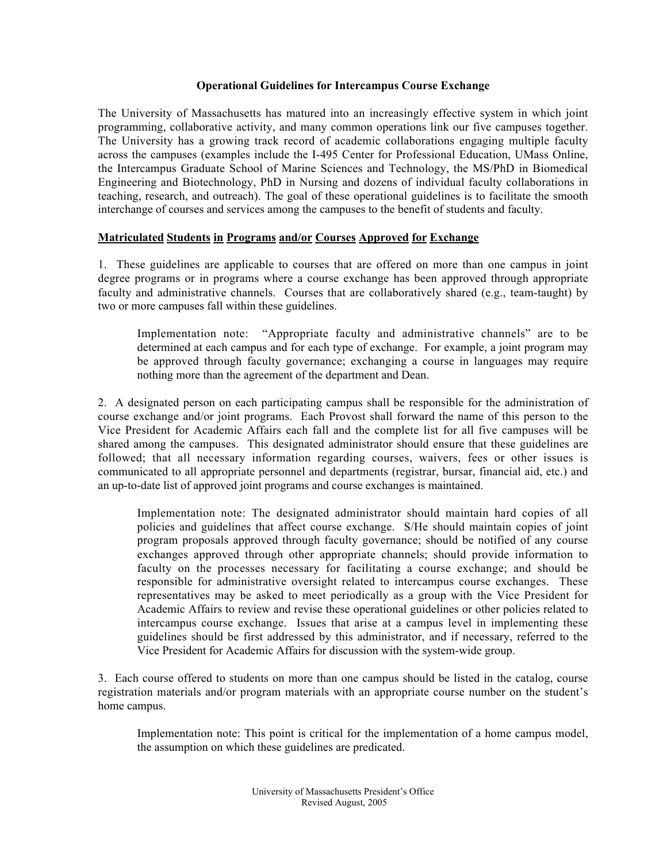## Operational Guidelines for Intercampus Course Exchange

The University of Massachusetts has matured into an increasingly effective system in which joint programming, collaborative activity, and many common operations link our five campuses together. The University has a growing track record of academic collaborations engaging multiple faculty across the campuses (examples include the I-495 Center for Professional Education, UMass Online, the Intercampus Graduate School of Marine Sciences and Technology, the MS/PhD in Biomedical Engineering and Biotechnology, PhD in Nursing and dozens of individual faculty collaborations in teaching, research, and outreach). The goal of these operational guidelines is to facilitate the smooth interchange of courses and services among the campuses to the benefit of students and faculty.

## Matriculated Students in Programs and/or Courses Approved for Exchange

1. These guidelines are applicable to courses that are offered on more than one campus in joint degree programs or in programs where a course exchange has been approved through appropriate faculty and administrative channels. Courses that are collaboratively shared (e.g., team-taught) by two or more campuses fall within these guidelines.

Implementation note: "Appropriate faculty and administrative channels" are to be determined at each campus and for each type of exchange. For example, a joint program may be approved through faculty governance; exchanging a course in languages may require nothing more than the agreement of the department and Dean.

2. A designated person on each participating campus shall be responsible for the administration of course exchange and/or joint programs. Each Provost shall forward the name of this person to the Vice President for Academic Affairs each fall and the complete list for all five campuses will be shared among the campuses. This designated administrator should ensure that these guidelines are followed; that all necessary information regarding courses, waivers, fees or other issues is communicated to all appropriate personnel and departments (registrar, bursar, financial aid, etc.) and an up-to-date list of approved joint programs and course exchanges is maintained.

Implementation note: The designated administrator should maintain hard copies of all policies and guidelines that affect course exchange. S/He should maintain copies of joint program proposals approved through faculty governance; should be notified of any course exchanges approved through other appropriate channels; should provide information to faculty on the processes necessary for facilitating a course exchange; and should be responsible for administrative oversight related to intercampus course exchanges. These representatives may be asked to meet periodically as a group with the Vice President for Academic Affairs to review and revise these operational guidelines or other policies related to intercampus course exchange. Issues that arise at a campus level in implementing these guidelines should be first addressed by this administrator, and if necessary, referred to the Vice President for Academic Affairs for discussion with the system-wide group.

3. Each course offered to students on more than one campus should be listed in the catalog, course registration materials and/or program materials with an appropriate course number on the student's home campus.

Implementation note: This point is critical for the implementation of a home campus model, the assumption on which these guidelines are predicated.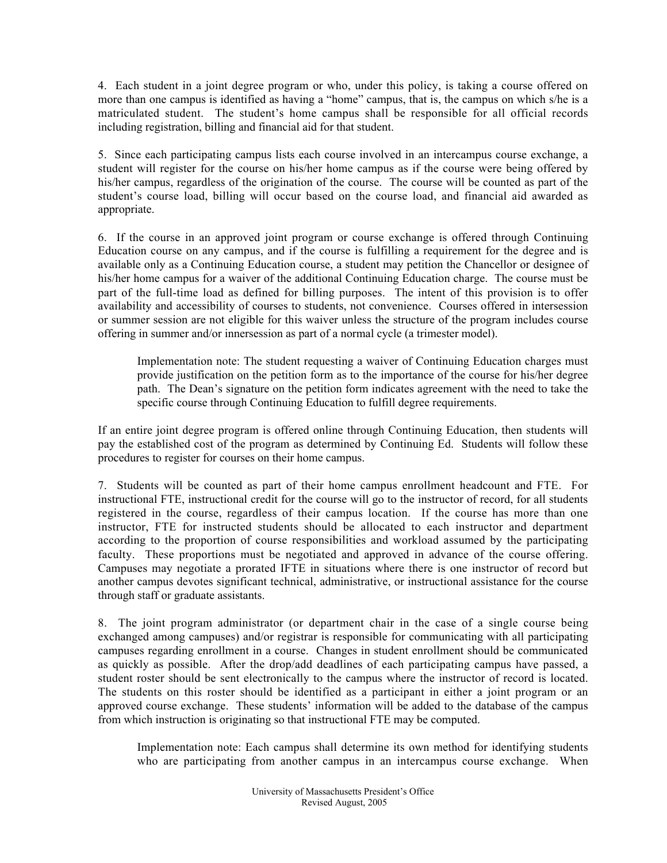4. Each student in a joint degree program or who, under this policy, is taking a course offered on more than one campus is identified as having a "home" campus, that is, the campus on which s/he is a matriculated student. The student's home campus shall be responsible for all official records including registration, billing and financial aid for that student.

5. Since each participating campus lists each course involved in an intercampus course exchange, a student will register for the course on his/her home campus as if the course were being offered by his/her campus, regardless of the origination of the course. The course will be counted as part of the student's course load, billing will occur based on the course load, and financial aid awarded as appropriate.

6. If the course in an approved joint program or course exchange is offered through Continuing Education course on any campus, and if the course is fulfilling a requirement for the degree and is available only as a Continuing Education course, a student may petition the Chancellor or designee of his/her home campus for a waiver of the additional Continuing Education charge. The course must be part of the full-time load as defined for billing purposes. The intent of this provision is to offer availability and accessibility of courses to students, not convenience. Courses offered in intersession or summer session are not eligible for this waiver unless the structure of the program includes course offering in summer and/or innersession as part of a normal cycle (a trimester model).

Implementation note: The student requesting a waiver of Continuing Education charges must provide justification on the petition form as to the importance of the course for his/her degree path. The Dean's signature on the petition form indicates agreement with the need to take the specific course through Continuing Education to fulfill degree requirements.

If an entire joint degree program is offered online through Continuing Education, then students will pay the established cost of the program as determined by Continuing Ed. Students will follow these procedures to register for courses on their home campus.

7. Students will be counted as part of their home campus enrollment headcount and FTE. For instructional FTE, instructional credit for the course will go to the instructor of record, for all students registered in the course, regardless of their campus location. If the course has more than one instructor, FTE for instructed students should be allocated to each instructor and department according to the proportion of course responsibilities and workload assumed by the participating faculty. These proportions must be negotiated and approved in advance of the course offering. Campuses may negotiate a prorated IFTE in situations where there is one instructor of record but another campus devotes significant technical, administrative, or instructional assistance for the course through staff or graduate assistants.

8. The joint program administrator (or department chair in the case of a single course being exchanged among campuses) and/or registrar is responsible for communicating with all participating campuses regarding enrollment in a course. Changes in student enrollment should be communicated as quickly as possible. After the drop/add deadlines of each participating campus have passed, a student roster should be sent electronically to the campus where the instructor of record is located. The students on this roster should be identified as a participant in either a joint program or an approved course exchange. These students' information will be added to the database of the campus from which instruction is originating so that instructional FTE may be computed.

Implementation note: Each campus shall determine its own method for identifying students who are participating from another campus in an intercampus course exchange. When